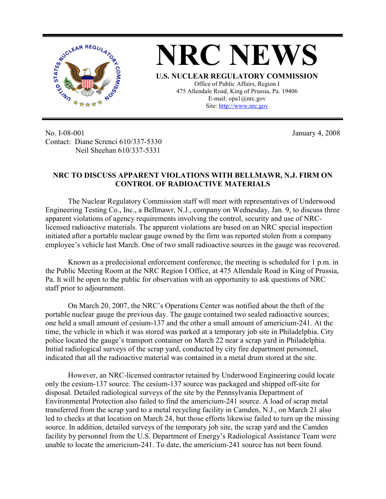

**NRC NEWS U.S. NUCLEAR REGULATORY COMMISSION** Office of Public Affairs, Region I 475 Allendale Road, King of Prussia, Pa. 19406 E-mail: opa1@nrc.gov Site: http://www.nrc.gov

No. I-08-001 Contact: Diane Screnci 610/337-5330 Neil Sheehan 610/337-5331

January 4, 2008

## **NRC TO DISCUSS APPARENT VIOLATIONS WITH BELLMAWR, N.J. FIRM ON CONTROL OF RADIOACTIVE MATERIALS**

The Nuclear Regulatory Commission staff will meet with representatives of Underwood Engineering Testing Co., Inc., a Bellmawr, N.J., company on Wednesday, Jan. 9, to discuss three apparent violations of agency requirements involving the control, security and use of NRClicensed radioactive materials. The apparent violations are based on an NRC special inspection initiated after a portable nuclear gauge owned by the firm was reported stolen from a company employee's vehicle last March. One of two small radioactive sources in the gauge was recovered.

Known as a predecisional enforcement conference, the meeting is scheduled for 1 p.m. in the Public Meeting Room at the NRC Region I Office, at 475 Allendale Road in King of Prussia, Pa. It will be open to the public for observation with an opportunity to ask questions of NRC staff prior to adjournment.

On March 20, 2007, the NRC's Operations Center was notified about the theft of the portable nuclear gauge the previous day. The gauge contained two sealed radioactive sources; one held a small amount of cesium-137 and the other a small amount of americium-241. At the time, the vehicle in which it was stored was parked at a temporary job site in Philadelphia. City police located the gauge's transport container on March 22 near a scrap yard in Philadelphia. Initial radiological surveys of the scrap yard, conducted by city fire department personnel, indicated that all the radioactive material was contained in a metal drum stored at the site.

However, an NRC-licensed contractor retained by Underwood Engineering could locate only the cesium-137 source. The cesium-137 source was packaged and shipped off-site for disposal. Detailed radiological surveys of the site by the Pennsylvania Department of Environmental Protection also failed to find the americium-241 source. A load of scrap metal transferred from the scrap yard to a metal recycling facility in Camden, N.J., on March 21 also led to checks at that location on March 24, but those efforts likewise failed to turn up the missing source. In addition, detailed surveys of the temporary job site, the scrap yard and the Camden facility by personnel from the U.S. Department of Energy's Radiological Assistance Team were unable to locate the americium-241. To date, the americium-241 source has not been found.